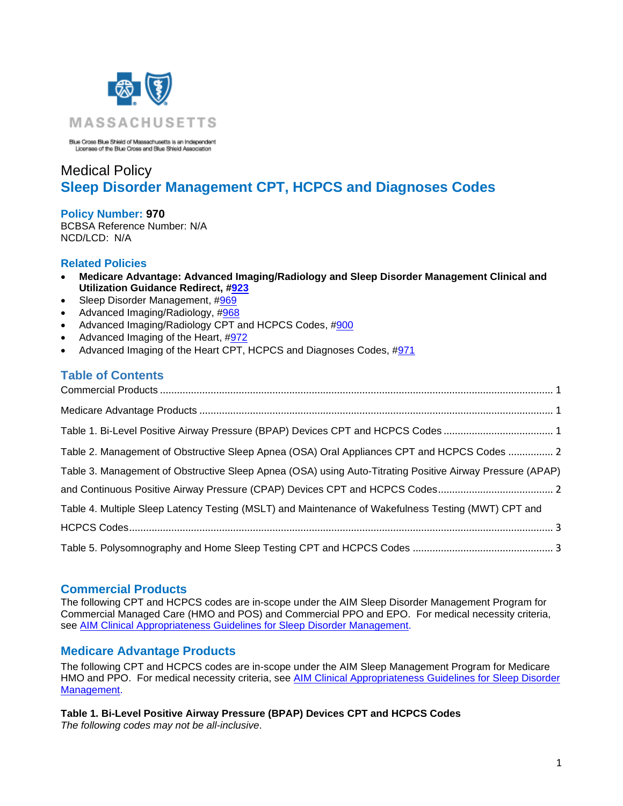

Blue Cross Blue Shield of Massachusetts is an Independent<br>Licensee of the Blue Cross and Blue Shield Association

# Medical Policy **Sleep Disorder Management CPT, HCPCS and Diagnoses Codes**

**Policy Number: 970** BCBSA Reference Number: N/A NCD/LCD: N/A

#### **Related Policies**

- **Medicare Advantage: Advanced Imaging/Radiology and Sleep Disorder Management Clinical and Utilization Guidance Redirect, [#923](http://www.bluecrossma.org/medical-policies/sites/g/files/csphws2091/files/acquiadam-assets/923%20Medicare%20Advantage%20High%20Technology%20Radiology%20&%20Sleep%20Disorder%20Management%20Redirect%20prn.pdf)**
- Sleep Disorder Management, [#969](https://www.bluecrossma.org/medical-policies/sites/g/files/csphws2091/files/acquiadam-assets/969%20Sleep%20Disorder%20Management%20prn.pdf)
- Advanced Imaging/Radiology, [#968](https://www.bluecrossma.org/medical-policies/sites/g/files/csphws2091/files/acquiadam-assets/968%20Advanced%20Imaging%20Radiology%20prn.pdf)
- Advanced Imaging/Radiology CPT and HCPCS Codes, [#900](https://www.bluecrossma.org/medical-policies/sites/g/files/csphws2091/files/acquiadam-assets/900%20AIM%20High%20Technology%20Radiology%20Management%20Program%20CPT%20and%20HCPCS%20Codes%20prn.pdf)
- Advanced Imaging of the Heart, [#972](https://blueweb.bluecrossma.org/medical-policies/sites/g/files/csphws2091/files/acquiadam-assets/972%20Advanced%20Imaging%20of%20the%20Heart%20prn.pdf)
- Advanced Imaging of the Heart CPT, HCPCS and Diagnoses Codes, [#971](https://www.bluecrossma.org/medical-policies/sites/g/files/csphws2091/files/acquiadam-assets/971%20Advanced%20Imaging%20of%20the%20Heart%20CPT%20and%20HCPCS%20Codes%20prn.pdf)

## **Table of Contents**

| Table 1. Bi-Level Positive Airway Pressure (BPAP) Devices CPT and HCPCS Codes  1                          |  |
|-----------------------------------------------------------------------------------------------------------|--|
| Table 2. Management of Obstructive Sleep Apnea (OSA) Oral Appliances CPT and HCPCS Codes  2               |  |
| Table 3. Management of Obstructive Sleep Apnea (OSA) using Auto-Titrating Positive Airway Pressure (APAP) |  |
|                                                                                                           |  |
| Table 4. Multiple Sleep Latency Testing (MSLT) and Maintenance of Wakefulness Testing (MWT) CPT and       |  |
|                                                                                                           |  |
|                                                                                                           |  |

#### <span id="page-0-0"></span>**Commercial Products**

The following CPT and HCPCS codes are in-scope under the AIM Sleep Disorder Management Program for Commercial Managed Care (HMO and POS) and Commercial PPO and EPO. For medical necessity criteria, see [AIM Clinical Appropriateness Guidelines](http://www.aimspecialtyhealth.com/CG-Sleep.html) for Sleep Disorder Management.

## <span id="page-0-1"></span>**Medicare Advantage Products**

The following CPT and HCPCS codes are in-scope under the AIM Sleep Management Program for Medicare HMO and PPO.For medical necessity criteria, see [AIM Clinical Appropriateness Guidelines](http://www.aimspecialtyhealth.com/CG-Sleep.html) for Sleep Disorder [Management.](http://www.aimspecialtyhealth.com/CG-Sleep.html)

<span id="page-0-2"></span>**Table 1. Bi-Level Positive Airway Pressure (BPAP) Devices CPT and HCPCS Codes**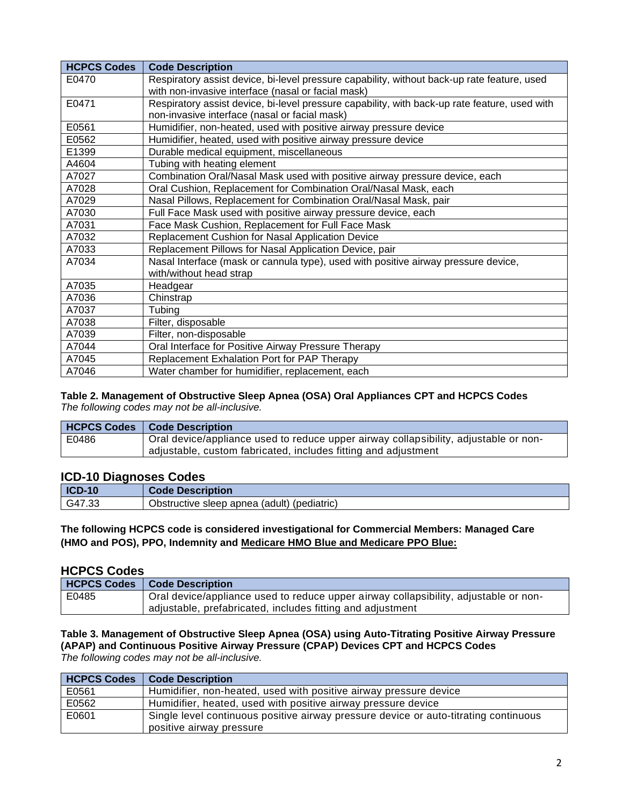| <b>HCPCS Codes</b> | <b>Code Description</b>                                                                       |  |
|--------------------|-----------------------------------------------------------------------------------------------|--|
| E0470              | Respiratory assist device, bi-level pressure capability, without back-up rate feature, used   |  |
|                    | with non-invasive interface (nasal or facial mask)                                            |  |
| E0471              | Respiratory assist device, bi-level pressure capability, with back-up rate feature, used with |  |
|                    | non-invasive interface (nasal or facial mask)                                                 |  |
| E0561              | Humidifier, non-heated, used with positive airway pressure device                             |  |
| E0562              | Humidifier, heated, used with positive airway pressure device                                 |  |
| E1399              | Durable medical equipment, miscellaneous                                                      |  |
| A4604              | Tubing with heating element                                                                   |  |
| A7027              | Combination Oral/Nasal Mask used with positive airway pressure device, each                   |  |
| A7028              | Oral Cushion, Replacement for Combination Oral/Nasal Mask, each                               |  |
| A7029              | Nasal Pillows, Replacement for Combination Oral/Nasal Mask, pair                              |  |
| A7030              | Full Face Mask used with positive airway pressure device, each                                |  |
| A7031              | Face Mask Cushion, Replacement for Full Face Mask                                             |  |
| A7032              | Replacement Cushion for Nasal Application Device                                              |  |
| A7033              | Replacement Pillows for Nasal Application Device, pair                                        |  |
| A7034              | Nasal Interface (mask or cannula type), used with positive airway pressure device,            |  |
|                    | with/without head strap                                                                       |  |
| A7035              | Headgear                                                                                      |  |
| A7036              | Chinstrap                                                                                     |  |
| A7037              | Tubing                                                                                        |  |
| A7038              | Filter, disposable                                                                            |  |
| A7039              | Filter, non-disposable                                                                        |  |
| A7044              | Oral Interface for Positive Airway Pressure Therapy                                           |  |
| A7045              | Replacement Exhalation Port for PAP Therapy                                                   |  |
| A7046              | Water chamber for humidifier, replacement, each                                               |  |

#### <span id="page-1-0"></span>**Table 2. Management of Obstructive Sleep Apnea (OSA) Oral Appliances CPT and HCPCS Codes** *The following codes may not be all-inclusive.*

|       | <b>HCPCS Codes   Code Description</b>                                                |
|-------|--------------------------------------------------------------------------------------|
| E0486 | Oral device/appliance used to reduce upper airway collapsibility, adjustable or non- |
|       | adjustable, custom fabricated, includes fitting and adjustment                       |

#### <span id="page-1-1"></span>**ICD-10 Diagnoses Codes**

| $ICD-10$        | <b>Description</b><br><b>Code</b>                   |
|-----------------|-----------------------------------------------------|
| $G47.3^{\circ}$ | Obstructive sleep apnea<br>. (adult)<br>(pediatric) |

**The following HCPCS code is considered investigational for Commercial Members: Managed Care (HMO and POS), PPO, Indemnity and Medicare HMO Blue and Medicare PPO Blue:**

### **HCPCS Codes**

|       | <b>HCPCS Codes   Code Description</b>                                                |
|-------|--------------------------------------------------------------------------------------|
| E0485 | Oral device/appliance used to reduce upper airway collapsibility, adjustable or non- |
|       | adjustable, prefabricated, includes fitting and adjustment                           |

#### **Table 3. Management of Obstructive Sleep Apnea (OSA) using Auto-Titrating Positive Airway Pressure (APAP) and Continuous Positive Airway Pressure (CPAP) Devices CPT and HCPCS Codes** *The following codes may not be all-inclusive.*

| <b>HCPCS Codes</b> | <b>Code Description</b>                                                              |  |
|--------------------|--------------------------------------------------------------------------------------|--|
| E0561              | Humidifier, non-heated, used with positive airway pressure device                    |  |
| E0562              | Humidifier, heated, used with positive airway pressure device                        |  |
| E0601              | Single level continuous positive airway pressure device or auto-titrating continuous |  |
|                    | positive airway pressure                                                             |  |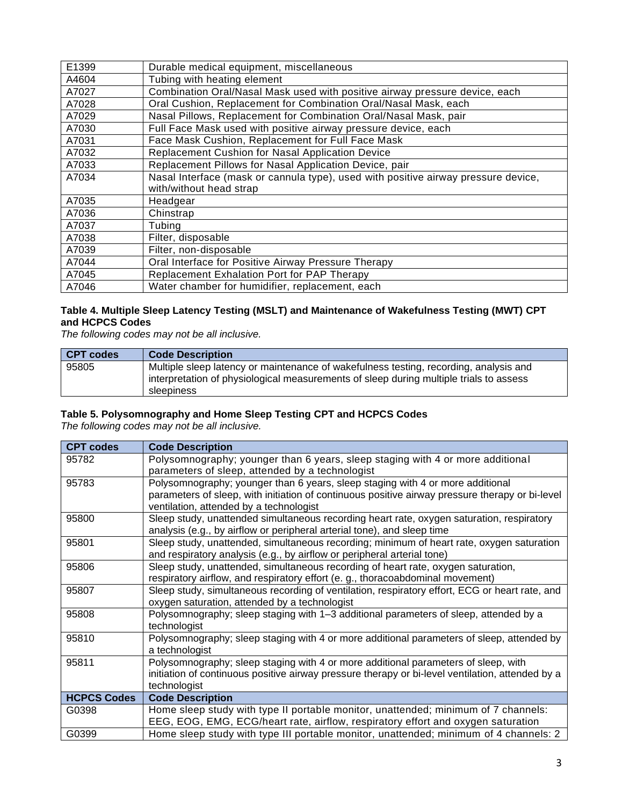| E1399 | Durable medical equipment, miscellaneous                                           |  |
|-------|------------------------------------------------------------------------------------|--|
| A4604 | Tubing with heating element                                                        |  |
| A7027 | Combination Oral/Nasal Mask used with positive airway pressure device, each        |  |
| A7028 | Oral Cushion, Replacement for Combination Oral/Nasal Mask, each                    |  |
| A7029 | Nasal Pillows, Replacement for Combination Oral/Nasal Mask, pair                   |  |
| A7030 | Full Face Mask used with positive airway pressure device, each                     |  |
| A7031 | Face Mask Cushion, Replacement for Full Face Mask                                  |  |
| A7032 | Replacement Cushion for Nasal Application Device                                   |  |
| A7033 | Replacement Pillows for Nasal Application Device, pair                             |  |
| A7034 | Nasal Interface (mask or cannula type), used with positive airway pressure device, |  |
|       | with/without head strap                                                            |  |
| A7035 | Headgear                                                                           |  |
| A7036 | Chinstrap                                                                          |  |
| A7037 | Tubing                                                                             |  |
| A7038 | Filter, disposable                                                                 |  |
| A7039 | Filter, non-disposable                                                             |  |
| A7044 | Oral Interface for Positive Airway Pressure Therapy                                |  |
| A7045 | Replacement Exhalation Port for PAP Therapy                                        |  |
| A7046 | Water chamber for humidifier, replacement, each                                    |  |

#### <span id="page-2-0"></span>**Table 4. Multiple Sleep Latency Testing (MSLT) and Maintenance of Wakefulness Testing (MWT) CPT and HCPCS Codes**

*The following codes may not be all inclusive.*

| CPT codes | <b>Code Description</b>                                                                                                                                                                       |
|-----------|-----------------------------------------------------------------------------------------------------------------------------------------------------------------------------------------------|
| 95805     | Multiple sleep latency or maintenance of wakefulness testing, recording, analysis and<br>interpretation of physiological measurements of sleep during multiple trials to assess<br>sleepiness |

#### <span id="page-2-1"></span>**Table 5. Polysomnography and Home Sleep Testing CPT and HCPCS Codes**

*The following codes may not be all inclusive.*

| <b>CPT codes</b>   | <b>Code Description</b>                                                                                                                                                                                                      |
|--------------------|------------------------------------------------------------------------------------------------------------------------------------------------------------------------------------------------------------------------------|
| 95782              | Polysomnography; younger than 6 years, sleep staging with 4 or more additional<br>parameters of sleep, attended by a technologist                                                                                            |
| 95783              | Polysomnography; younger than 6 years, sleep staging with 4 or more additional<br>parameters of sleep, with initiation of continuous positive airway pressure therapy or bi-level<br>ventilation, attended by a technologist |
| 95800              | Sleep study, unattended simultaneous recording heart rate, oxygen saturation, respiratory<br>analysis (e.g., by airflow or peripheral arterial tone), and sleep time                                                         |
| 95801              | Sleep study, unattended, simultaneous recording; minimum of heart rate, oxygen saturation<br>and respiratory analysis (e.g., by airflow or peripheral arterial tone)                                                         |
| 95806              | Sleep study, unattended, simultaneous recording of heart rate, oxygen saturation,<br>respiratory airflow, and respiratory effort (e. g., thoracoabdominal movement)                                                          |
| 95807              | Sleep study, simultaneous recording of ventilation, respiratory effort, ECG or heart rate, and<br>oxygen saturation, attended by a technologist                                                                              |
| 95808              | Polysomnography; sleep staging with 1–3 additional parameters of sleep, attended by a<br>technologist                                                                                                                        |
| 95810              | Polysomnography; sleep staging with 4 or more additional parameters of sleep, attended by<br>a technologist                                                                                                                  |
| 95811              | Polysomnography; sleep staging with 4 or more additional parameters of sleep, with<br>initiation of continuous positive airway pressure therapy or bi-level ventilation, attended by a<br>technologist                       |
| <b>HCPCS Codes</b> | <b>Code Description</b>                                                                                                                                                                                                      |
| G0398              | Home sleep study with type II portable monitor, unattended; minimum of 7 channels:<br>EEG, EOG, EMG, ECG/heart rate, airflow, respiratory effort and oxygen saturation                                                       |
| G0399              | Home sleep study with type III portable monitor, unattended; minimum of 4 channels: 2                                                                                                                                        |